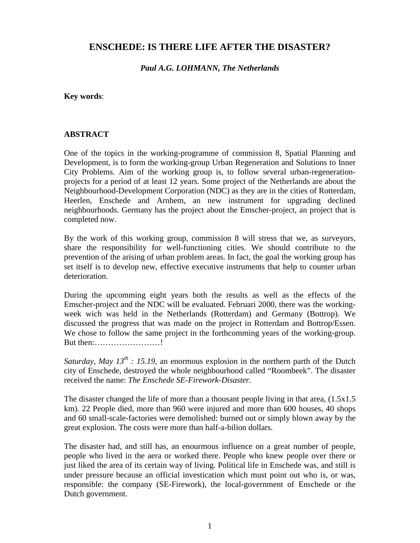# **ENSCHEDE: IS THERE LIFE AFTER THE DISASTER?**

*Paul A.G. LOHMANN, The Netherlands*

**Key words**:

#### **ABSTRACT**

One of the topics in the working-programme of commission 8, Spatial Planning and Development, is to form the working-group Urban Regeneration and Solutions to Inner City Problems. Aim of the working group is, to follow several urban-regenerationprojects for a period of at least 12 years. Some project of the Netherlands are about the Neighbourhood-Development Corporation (NDC) as they are in the cities of Rotterdam, Heerlen, Enschede and Arnhem, an new instrument for upgrading declined neighbourhoods. Germany has the project about the Emscher-project, an project that is completed now.

By the work of this working group, commission 8 will stress that we, as surveyors, share the responsibility for well-functioning cities. We should contribute to the prevention of the arising of urban problem areas. In fact, the goal the working group has set itself is to develop new, effective executive instruments that help to counter urban deterioration.

During the upcomming eight years both the results as well as the effects of the Emscher-project and the NDC will be evaluated. Februari 2000, there was the workingweek wich was held in the Netherlands (Rotterdam) and Germany (Bottrop). We discussed the progress that was made on the project in Rotterdam and Bottrop/Essen. We chose to follow the same project in the forthcomming years of the working-group. But then:……………………!

*Saturday, May*  $13^{th}$  *: 15.19, an enormous explosion in the northern parth of the Dutch* city of Enschede, destroyed the whole neighbourhood called "Roombeek". The disaster received the name: *The Enschede SE-Firework-Disaster.*

The disaster changed the life of more than a thousant people living in that area,  $(1.5x1.5$ km). 22 People died, more than 960 were injured and more than 600 houses, 40 shops and 60 small-scale-factories were demolished: burned out or simply blown away by the great explosion. The costs were more than half-a-bilion dollars.

The disaster had, and still has, an enourmous influence on a great number of people, people who lived in the aera or worked there. People who knew people over there or just liked the area of its certain way of living. Political life in Enschede was, and still is under pressure because an official investication which must point out who is, or was, responsible: the company (SE-Firework), the local-government of Enschede or the Dutch government.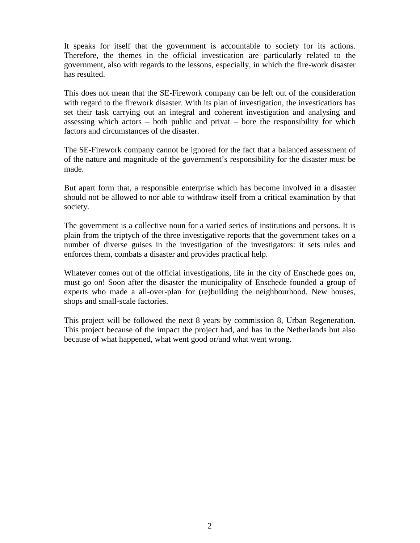It speaks for itself that the government is accountable to society for its actions. Therefore, the themes in the official investication are particularly related to the government, also with regards to the lessons, especially, in which the fire-work disaster has resulted.

This does not mean that the SE-Firework company can be left out of the consideration with regard to the firework disaster. With its plan of investigation, the investicatiors has set their task carrying out an integral and coherent investigation and analysing and assessing which actors – both public and privat – bore the responsibility for which factors and circumstances of the disaster.

The SE-Firework company cannot be ignored for the fact that a balanced assessment of of the nature and magnitude of the government's responsibility for the disaster must be made.

But apart form that, a responsible enterprise which has become involved in a disaster should not be allowed to nor able to withdraw itself from a critical examination by that society.

The government is a collective noun for a varied series of institutions and persons. It is plain from the triptych of the three investigative reports that the government takes on a number of diverse guises in the investigation of the investigators: it sets rules and enforces them, combats a disaster and provides practical help.

Whatever comes out of the official investigations, life in the city of Enschede goes on, must go on! Soon after the disaster the municipality of Enschede founded a group of experts who made a all-over-plan for (re)building the neighbourhood. New houses, shops and small-scale factories.

This project will be followed the next 8 years by commission 8, Urban Regeneration. This project because of the impact the project had, and has in the Netherlands but also because of what happened, what went good or/and what went wrong.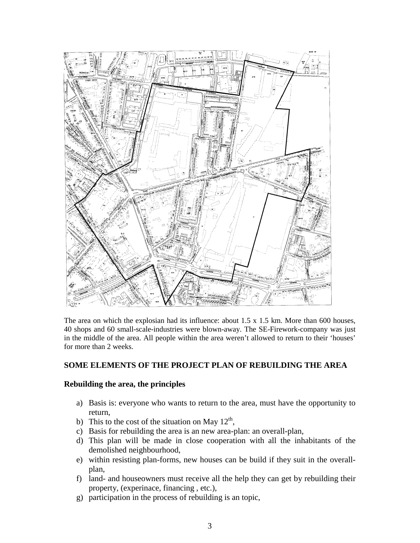

The area on which the explosian had its influence: about 1.5 x 1.5 km. More than 600 houses, 40 shops and 60 small-scale-industries were blown-away. The SE-Firework-company was just in the middle of the area. All people within the area weren't allowed to return to their 'houses' for more than 2 weeks.

### **SOME ELEMENTS OF THE PROJECT PLAN OF REBUILDING THE AREA**

### **Rebuilding the area, the principles**

- a) Basis is: everyone who wants to return to the area, must have the opportunity to return,
- b) This to the cost of the situation on May  $12<sup>th</sup>$ ,
- c) Basis for rebuilding the area is an new area-plan: an overall-plan,
- d) This plan will be made in close cooperation with all the inhabitants of the demolished neighbourhood,
- e) within resisting plan-forms, new houses can be build if they suit in the overallplan,
- f) land- and houseowners must receive all the help they can get by rebuilding their property, (experinace, financing , etc.),
- g) participation in the process of rebuilding is an topic,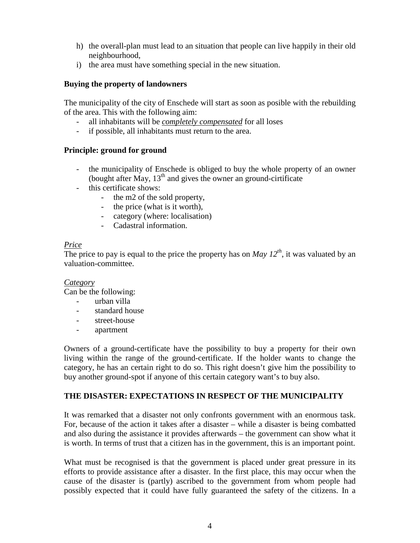- h) the overall-plan must lead to an situation that people can live happily in their old neighbourhood,
- i) the area must have something special in the new situation.

### **Buying the property of landowners**

The municipality of the city of Enschede will start as soon as posible with the rebuilding of the area. This with the following aim:

- all inhabitants will be *completely compensated* for all loses
- if possible, all inhabitants must return to the area.

### **Principle: ground for ground**

- the municipality of Enschede is obliged to buy the whole property of an owner (bought after May,  $13<sup>th</sup>$  and gives the owner an ground-cirtificate
- this certificate shows:
	- the m2 of the sold property,
	- the price (what is it worth),
	- category (where: localisation)
	- Cadastral information.

### *Price*

The price to pay is equal to the price the property has on *May*  $12^{th}$ , it was valuated by an valuation-committee.

### *Category*

Can be the following:

- urban villa
- standard house
- street-house
- apartment

Owners of a ground-certificate have the possibility to buy a property for their own living within the range of the ground-certificate. If the holder wants to change the category, he has an certain right to do so. This right doesn't give him the possibility to buy another ground-spot if anyone of this certain category want's to buy also.

### **THE DISASTER: EXPECTATIONS IN RESPECT OF THE MUNICIPALITY**

It was remarked that a disaster not only confronts government with an enormous task. For, because of the action it takes after a disaster – while a disaster is being combatted and also during the assistance it provides afterwards – the government can show what it is worth. In terms of trust that a citizen has in the government, this is an important point.

What must be recognised is that the government is placed under great pressure in its efforts to provide assistance after a disaster. In the first place, this may occur when the cause of the disaster is (partly) ascribed to the government from whom people had possibly expected that it could have fully guaranteed the safety of the citizens. In a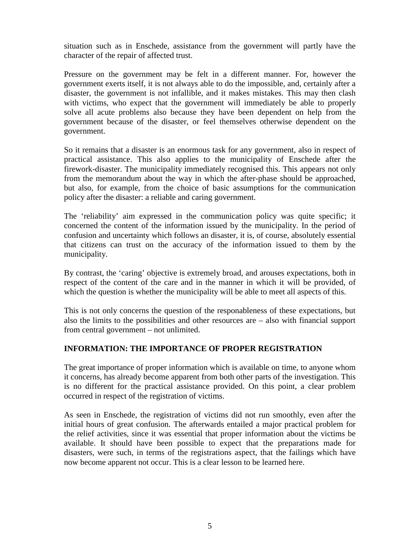situation such as in Enschede, assistance from the government will partly have the character of the repair of affected trust.

Pressure on the government may be felt in a different manner. For, however the government exerts itself, it is not always able to do the impossible, and, certainly after a disaster, the government is not infallible, and it makes mistakes. This may then clash with victims, who expect that the government will immediately be able to properly solve all acute problems also because they have been dependent on help from the government because of the disaster, or feel themselves otherwise dependent on the government.

So it remains that a disaster is an enormous task for any government, also in respect of practical assistance. This also applies to the municipality of Enschede after the firework-disaster. The municipality immediately recognised this. This appears not only from the memorandum about the way in which the after-phase should be approached, but also, for example, from the choice of basic assumptions for the communication policy after the disaster: a reliable and caring government.

The 'reliability' aim expressed in the communication policy was quite specific; it concerned the content of the information issued by the municipality. In the period of confusion and uncertainty which follows an disaster, it is, of course, absolutely essential that citizens can trust on the accuracy of the information issued to them by the municipality.

By contrast, the 'caring' objective is extremely broad, and arouses expectations, both in respect of the content of the care and in the manner in which it will be provided, of which the question is whether the municipality will be able to meet all aspects of this.

This is not only concerns the question of the responableness of these expectations, but also the limits to the possibilities and other resources are – also with financial support from central government – not unlimited.

### **INFORMATION: THE IMPORTANCE OF PROPER REGISTRATION**

The great importance of proper information which is available on time, to anyone whom it concerns, has already become apparent from both other parts of the investigation. This is no different for the practical assistance provided. On this point, a clear problem occurred in respect of the registration of victims.

As seen in Enschede, the registration of victims did not run smoothly, even after the initial hours of great confusion. The afterwards entailed a major practical problem for the relief activities, since it was essential that proper information about the victims be available. It should have been possible to expect that the preparations made for disasters, were such, in terms of the registrations aspect, that the failings which have now become apparent not occur. This is a clear lesson to be learned here.